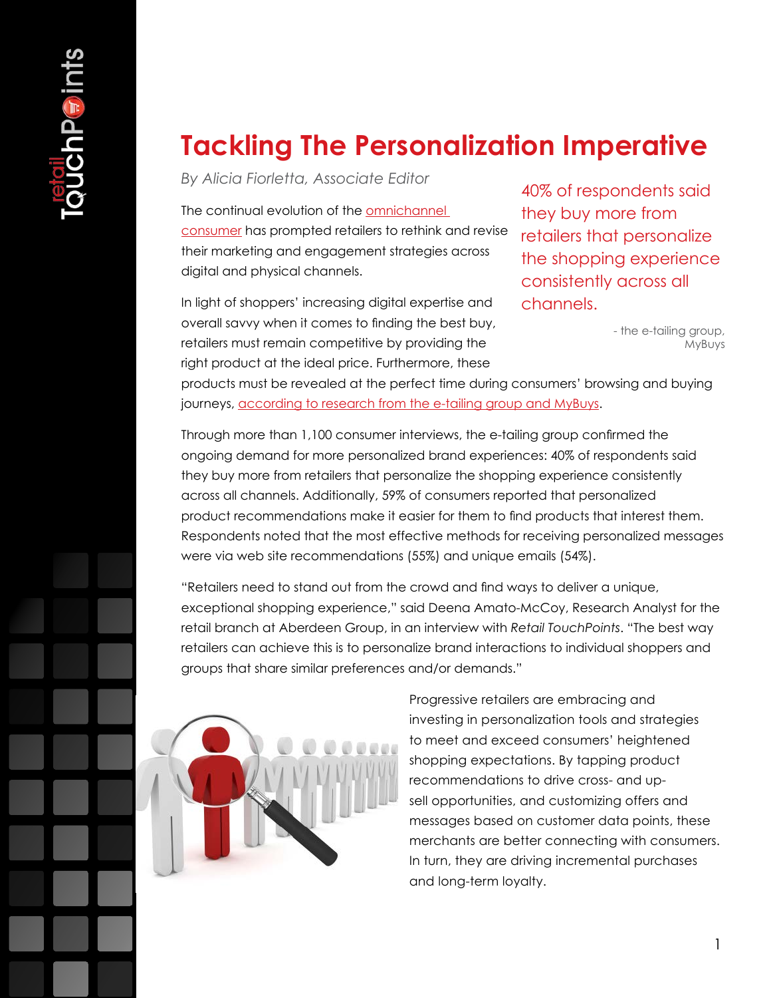# **Tackling The Personalization Imperative**

*By Alicia Fiorletta, Associate Editor*

The continual evolution of the [omnichannel](http://www.retailtouchpoints.com/cross-channel-strategies/2360-leading-retailers-embrace-new-solutions-to-drive-omnichannel-success)  [consumer](http://www.retailtouchpoints.com/cross-channel-strategies/2360-leading-retailers-embrace-new-solutions-to-drive-omnichannel-success) has prompted retailers to rethink and revise their marketing and engagement strategies across digital and physical channels.

In light of shoppers' increasing digital expertise and overall savvy when it comes to finding the best buy, retailers must remain competitive by providing the right product at the ideal price. Furthermore, these

40% of respondents said they buy more from retailers that personalize the shopping experience consistently across all channels.

> - the e-tailing group, MyBuys

products must be revealed at the perfect time during consumers' browsing and buying journeys, [according to research from the e-tailing group and MyBuys.](http://finance.yahoo.com/news/mybuys-e-tailing-group-consumer-130000300.html)

Through more than 1,100 consumer interviews, the e-tailing group confirmed the ongoing demand for more personalized brand experiences: 40% of respondents said they buy more from retailers that personalize the shopping experience consistently across all channels. Additionally, 59% of consumers reported that personalized product recommendations make it easier for them to find products that interest them. Respondents noted that the most effective methods for receiving personalized messages were via web site recommendations (55%) and unique emails (54%).

"Retailers need to stand out from the crowd and find ways to deliver a unique, exceptional shopping experience," said Deena Amato-McCoy, Research Analyst for the retail branch at Aberdeen Group, in an interview with *Retail TouchPoints*. "The best way retailers can achieve this is to personalize brand interactions to individual shoppers and groups that share similar preferences and/or demands."



Progressive retailers are embracing and investing in personalization tools and strategies to meet and exceed consumers' heightened shopping expectations. By tapping product recommendations to drive cross- and upsell opportunities, and customizing offers and messages based on customer data points, these merchants are better connecting with consumers. In turn, they are driving incremental purchases and long-term loyalty.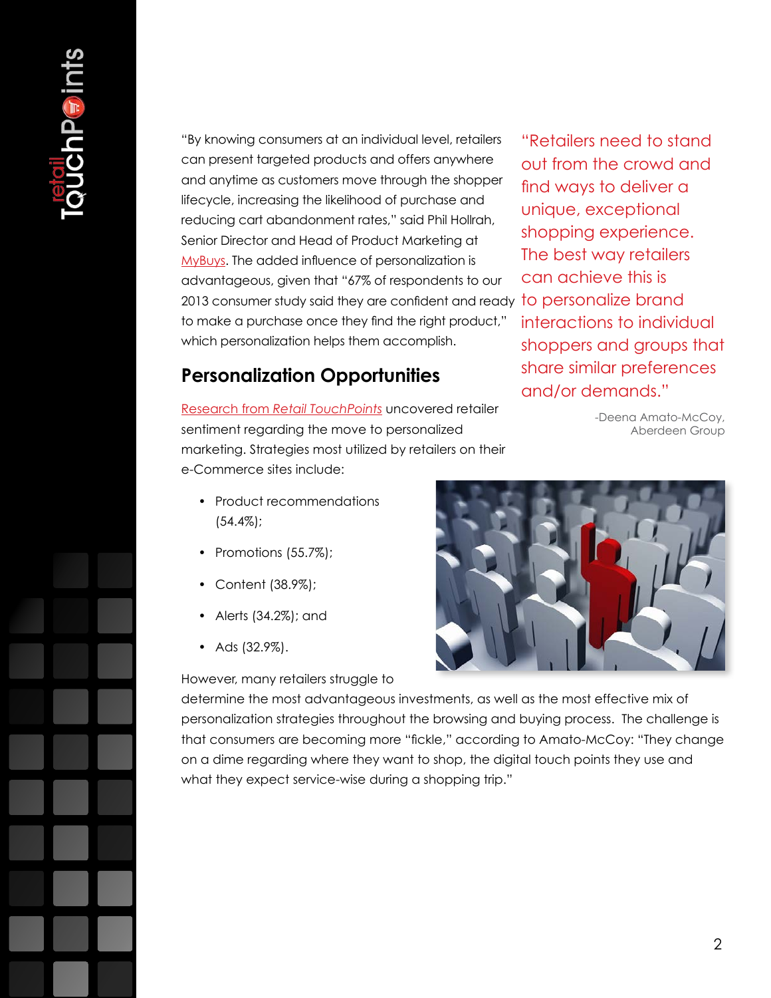"By knowing consumers at an individual level, retailers can present targeted products and offers anywhere and anytime as customers move through the shopper lifecycle, increasing the likelihood of purchase and reducing cart abandonment rates," said Phil Hollrah, Senior Director and Head of Product Marketing at [MyBuys](http://www.mybuys.com). The added influence of personalization is advantageous, given that "67% of respondents to our 2013 consumer study said they are confident and ready to personalize brand to make a purchase once they find the right product," which personalization helps them accomplish.

### **Personalization Opportunities**

Research from *[Retail TouchPoints](http://www.certona.com/moving-forward-with-mobile-survey.html)* uncovered retailer sentiment regarding the move to personalized marketing. Strategies most utilized by retailers on their e-Commerce sites include:

"Retailers need to stand out from the crowd and find ways to deliver a unique, exceptional shopping experience. The best way retailers can achieve this is interactions to individual shoppers and groups that share similar preferences and/or demands."

> -Deena Amato-McCoy, Aberdeen Group

- Product recommendations (54.4%);
- Promotions (55.7%);
- Content (38.9%);
- Alerts (34.2%); and
- Ads (32.9%).

However, many retailers struggle to



determine the most advantageous investments, as well as the most effective mix of personalization strategies throughout the browsing and buying process. The challenge is that consumers are becoming more "fickle," according to Amato-McCoy: "They change on a dime regarding where they want to shop, the digital touch points they use and what they expect service-wise during a shopping trip."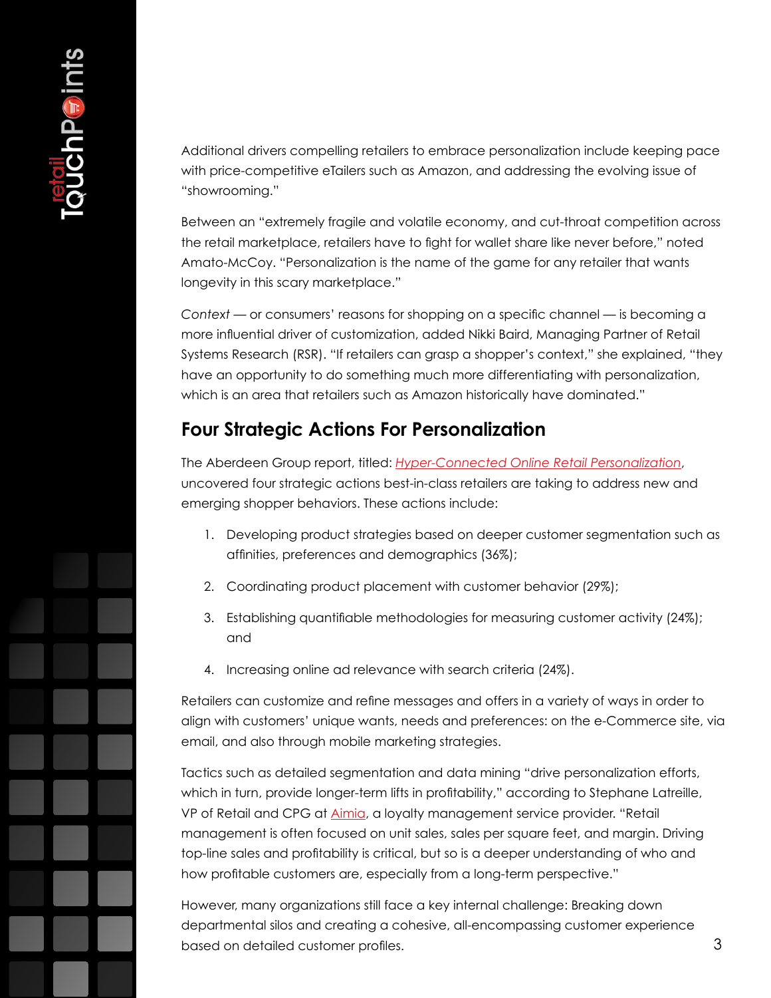Additional drivers compelling retailers to embrace personalization include keeping pace with price-competitive eTailers such as Amazon, and addressing the evolving issue of "showrooming."

Between an "extremely fragile and volatile economy, and cut-throat competition across the retail marketplace, retailers have to fight for wallet share like never before," noted Amato-McCoy. "Personalization is the name of the game for any retailer that wants longevity in this scary marketplace."

*Context* — or consumers' reasons for shopping on a specific channel — is becoming a more influential driver of customization, added Nikki Baird, Managing Partner of Retail Systems Research (RSR). "If retailers can grasp a shopper's context," she explained, "they have an opportunity to do something much more differentiating with personalization, which is an area that retailers such as Amazon historically have dominated."

### **Four Strategic Actions For Personalization**

The Aberdeen Group report, titled: *[Hyper-Connected Online Retail Personalization](http://aberdeen.com/Aberdeen-Library/7591/RA-retail-marketing-personalization.aspx)*, uncovered four strategic actions best-in-class retailers are taking to address new and emerging shopper behaviors. These actions include:

- 1. Developing product strategies based on deeper customer segmentation such as affinities, preferences and demographics (36%);
- 2. Coordinating product placement with customer behavior (29%);
- 3. Establishing quantifiable methodologies for measuring customer activity (24%); and
- 4. Increasing online ad relevance with search criteria (24%).

Retailers can customize and refine messages and offers in a variety of ways in order to align with customers' unique wants, needs and preferences: on the e-Commerce site, via email, and also through mobile marketing strategies.

Tactics such as detailed segmentation and data mining "drive personalization efforts, which in turn, provide longer-term lifts in profitability," according to Stephane Latreille, VP of Retail and CPG at [Aimia](http://www.aimia.com/English/About/At-a-Glance/default.aspx), a loyalty management service provider. "Retail management is often focused on unit sales, sales per square feet, and margin. Driving top-line sales and profitability is critical, but so is a deeper understanding of who and how profitable customers are, especially from a long-term perspective."

However, many organizations still face a key internal challenge: Breaking down departmental silos and creating a cohesive, all-encompassing customer experience based on detailed customer profiles.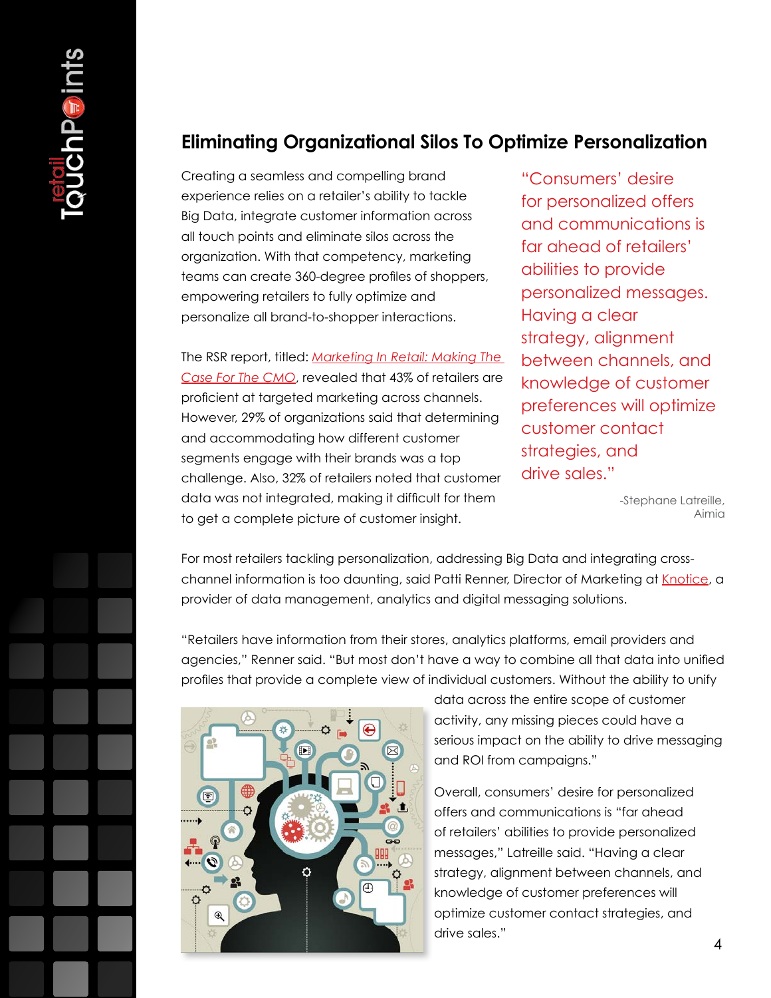#### **Eliminating Organizational Silos To Optimize Personalization**

Creating a seamless and compelling brand experience relies on a retailer's ability to tackle Big Data, integrate customer information across all touch points and eliminate silos across the organization. With that competency, marketing teams can create 360-degree profiles of shoppers, empowering retailers to fully optimize and personalize all brand-to-shopper interactions.

The RSR report, titled: *[Marketing In Retail: Making The](http://www.rsrresearch.com/2012/09/05/marketing-in-retail-making-the-case-for-the-cmo/)  [Case For The CMO](http://www.rsrresearch.com/2012/09/05/marketing-in-retail-making-the-case-for-the-cmo/)*, revealed that 43% of retailers are proficient at targeted marketing across channels. However, 29% of organizations said that determining and accommodating how different customer segments engage with their brands was a top challenge. Also, 32% of retailers noted that customer data was not integrated, making it difficult for them to get a complete picture of customer insight.

"Consumers' desire for personalized offers and communications is far ahead of retailers' abilities to provide personalized messages. Having a clear strategy, alignment between channels, and knowledge of customer preferences will optimize customer contact strategies, and drive sales."

> -Stephane Latreille, Aimia

For most retailers tackling personalization, addressing Big Data and integrating crosschannel information is too daunting, said Patti Renner, Director of Marketing at [Knotice](http://www.knotice.com/), a provider of data management, analytics and digital messaging solutions.

"Retailers have information from their stores, analytics platforms, email providers and agencies," Renner said. "But most don't have a way to combine all that data into unified profiles that provide a complete view of individual customers. Without the ability to unify



data across the entire scope of customer activity, any missing pieces could have a serious impact on the ability to drive messaging and ROI from campaigns."

Overall, consumers' desire for personalized offers and communications is "far ahead of retailers' abilities to provide personalized messages," Latreille said. "Having a clear strategy, alignment between channels, and knowledge of customer preferences will optimize customer contact strategies, and drive sales."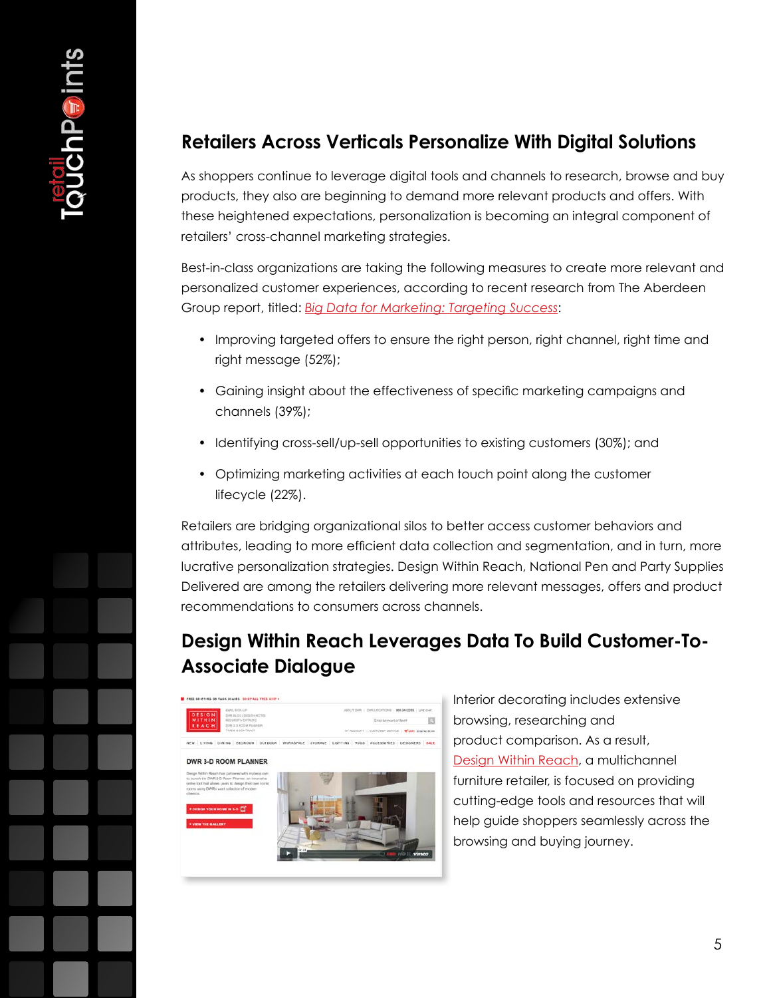## **Retailers Across Verticals Personalize With Digital Solutions**

As shoppers continue to leverage digital tools and channels to research, browse and buy products, they also are beginning to demand more relevant products and offers. With these heightened expectations, personalization is becoming an integral component of retailers' cross-channel marketing strategies.

Best-in-class organizations are taking the following measures to create more relevant and personalized customer experiences, according to recent research from The Aberdeen Group report, titled: *[Big Data for Marketing: Targeting Success](http://www.aberdeen.com/Aberdeen-Library/8332/RB-database-marketing-analytics.aspx)*:

- Improving targeted offers to ensure the right person, right channel, right time and right message (52%);
- Gaining insight about the effectiveness of specific marketing campaigns and channels (39%);
- Identifying cross-sell/up-sell opportunities to existing customers (30%); and
- Optimizing marketing activities at each touch point along the customer lifecycle (22%).

Retailers are bridging organizational silos to better access customer behaviors and attributes, leading to more efficient data collection and segmentation, and in turn, more lucrative personalization strategies. Design Within Reach, National Pen and Party Supplies Delivered are among the retailers delivering more relevant messages, offers and product recommendations to consumers across channels.

## **Design Within Reach Leverages Data To Build Customer-To-Associate Dialogue**



Interior decorating includes extensive browsing, researching and product comparison. As a result, [Design Within Reach](http://www.retailtouchpoints.com/dwr.com), a multichannel furniture retailer, is focused on providing cutting-edge tools and resources that will help guide shoppers seamlessly across the browsing and buying journey.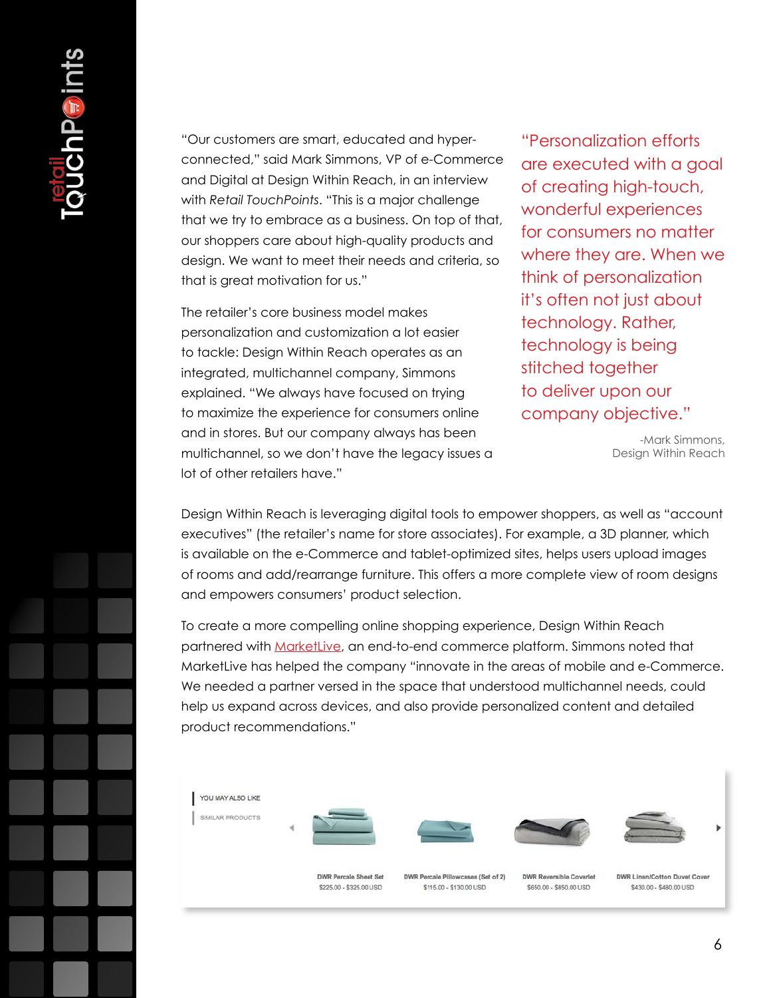"Our customers are smart, educated and hyperconnected," said Mark Simmons, VP of e-Commerce and Digital at Design Within Reach, in an interview with *Retail TouchPoints*. "This is a major challenge that we try to embrace as a business. On top of that, our shoppers care about high-quality products and design. We want to meet their needs and criteria, so that is great motivation for us."

The retailer's core business model makes personalization and customization a lot easier to tackle: Design Within Reach operates as an integrated, multichannel company, Simmons explained. "We always have focused on trying to maximize the experience for consumers online and in stores. But our company always has been multichannel, so we don't have the legacy issues a lot of other retailers have."

"Personalization efforts are executed with a goal of creating high-touch, wonderful experiences for consumers no matter where they are. When we think of personalization it's often not just about technology. Rather, technology is being stitched together to deliver upon our company objective."

> -Mark Simmons, Design Within Reach

Design Within Reach is leveraging digital tools to empower shoppers, as well as "account executives" (the retailer's name for store associates). For example, a 3D planner, which is available on the e-Commerce and tablet-optimized sites, helps users upload images of rooms and add/rearrange furniture. This offers a more complete view of room designs and empowers consumers' product selection.

To create a more compelling online shopping experience, Design Within Reach partnered with [MarketLive,](http://www.marketlive.com/) an end-to-end commerce platform. Simmons noted that MarketLive has helped the company "innovate in the areas of mobile and e-Commerce. We needed a partner versed in the space that understood multichannel needs, could help us expand across devices, and also provide personalized content and detailed product recommendations."

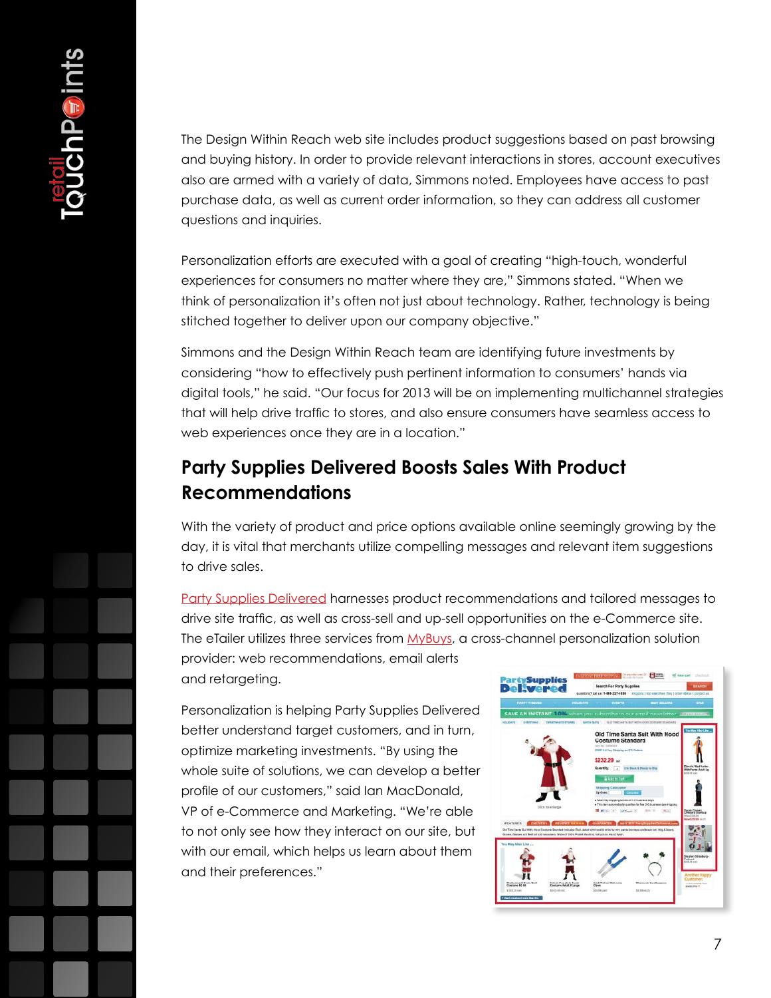The Design Within Reach web site includes product suggestions based on past browsing and buying history. In order to provide relevant interactions in stores, account executives also are armed with a variety of data, Simmons noted. Employees have access to past purchase data, as well as current order information, so they can address all customer questions and inquiries.

Personalization efforts are executed with a goal of creating "high-touch, wonderful experiences for consumers no matter where they are," Simmons stated. "When we think of personalization it's often not just about technology. Rather, technology is being stitched together to deliver upon our company objective."

Simmons and the Design Within Reach team are identifying future investments by considering "how to effectively push pertinent information to consumers' hands via digital tools," he said. "Our focus for 2013 will be on implementing multichannel strategies that will help drive traffic to stores, and also ensure consumers have seamless access to web experiences once they are in a location."

## **Party Supplies Delivered Boosts Sales With Product Recommendations**

With the variety of product and price options available online seemingly growing by the day, it is vital that merchants utilize compelling messages and relevant item suggestions to drive sales.

[Party Supplies Delivered](http://www.partysuppliesdelivered.com/) harnesses product recommendations and tailored messages to drive site traffic, as well as cross-sell and up-sell opportunities on the e-Commerce site. The eTailer utilizes three services from [MyBuys](http://www.mybuys.com/), a cross-channel personalization solution provider: web recommendations, email alerts and retargeting.

Personalization is helping Party Supplies Delivered better understand target customers, and in turn, optimize marketing investments. "By using the whole suite of solutions, we can develop a better profile of our customers," said Ian MacDonald, VP of e-Commerce and Marketing. "We're able to not only see how they interact on our site, but with our email, which helps us learn about them and their preferences."

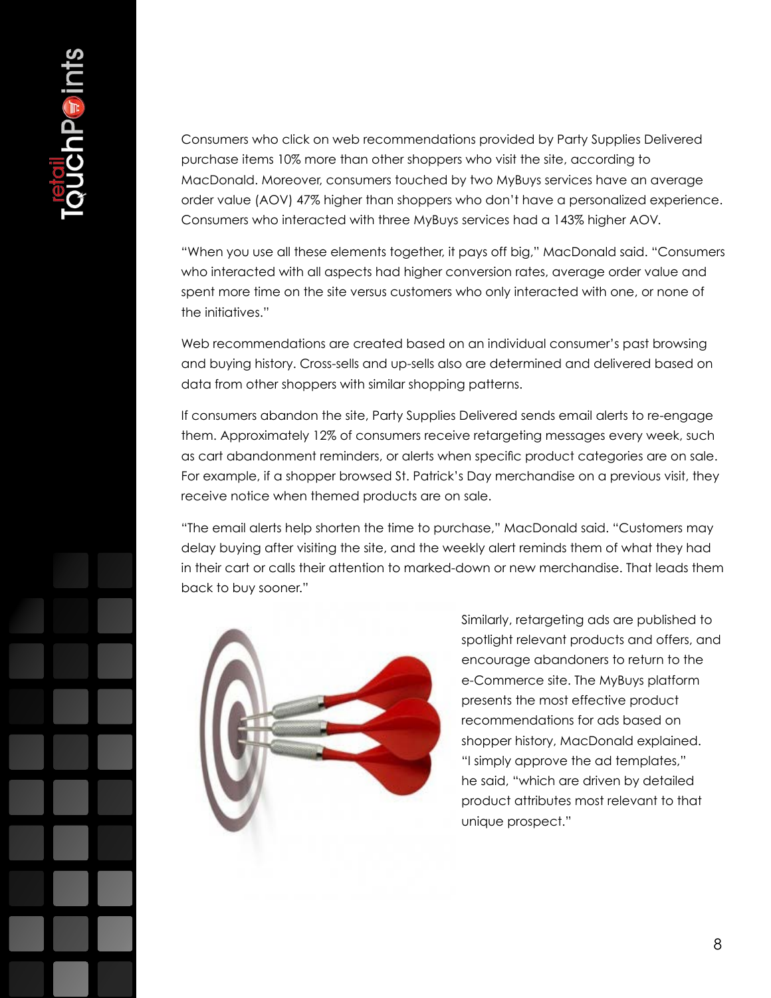Consumers who click on web recommendations provided by Party Supplies Delivered purchase items 10% more than other shoppers who visit the site, according to MacDonald. Moreover, consumers touched by two MyBuys services have an average order value (AOV) 47% higher than shoppers who don't have a personalized experience. Consumers who interacted with three MyBuys services had a 143% higher AOV.

"When you use all these elements together, it pays off big," MacDonald said. "Consumers who interacted with all aspects had higher conversion rates, average order value and spent more time on the site versus customers who only interacted with one, or none of the initiatives."

Web recommendations are created based on an individual consumer's past browsing and buying history. Cross-sells and up-sells also are determined and delivered based on data from other shoppers with similar shopping patterns.

If consumers abandon the site, Party Supplies Delivered sends email alerts to re-engage them. Approximately 12% of consumers receive retargeting messages every week, such as cart abandonment reminders, or alerts when specific product categories are on sale. For example, if a shopper browsed St. Patrick's Day merchandise on a previous visit, they receive notice when themed products are on sale.

"The email alerts help shorten the time to purchase," MacDonald said. "Customers may delay buying after visiting the site, and the weekly alert reminds them of what they had in their cart or calls their attention to marked-down or new merchandise. That leads them back to buy sooner."



Similarly, retargeting ads are published to spotlight relevant products and offers, and encourage abandoners to return to the e-Commerce site. The MyBuys platform presents the most effective product recommendations for ads based on shopper history, MacDonald explained. "I simply approve the ad templates," he said, "which are driven by detailed product attributes most relevant to that unique prospect."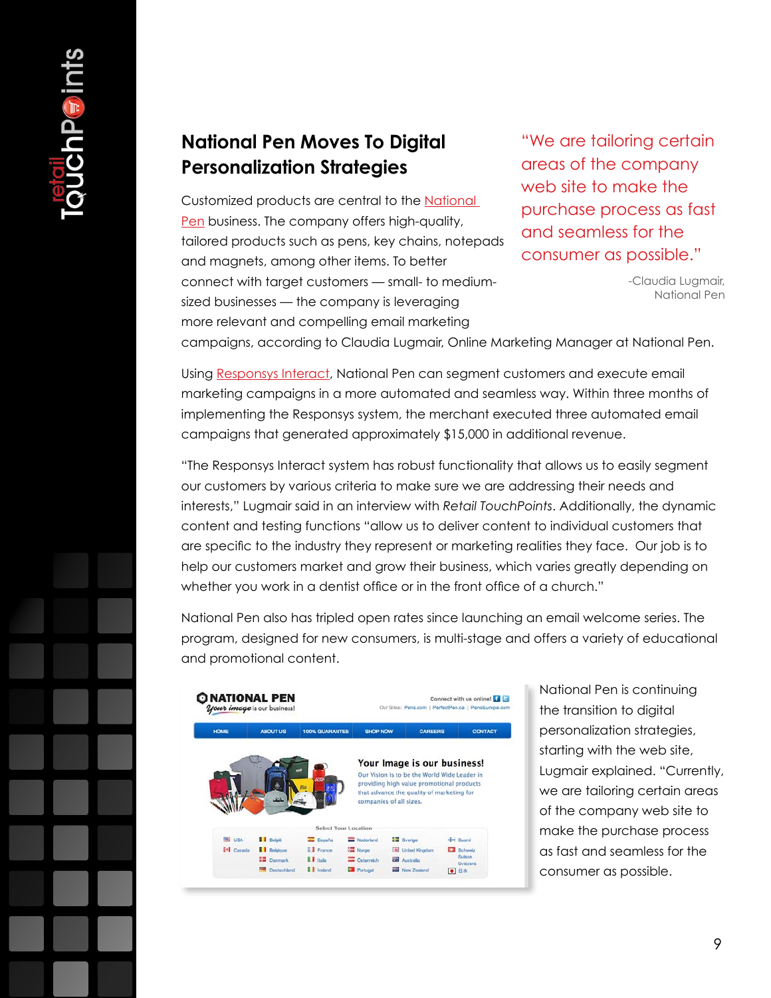#### **National Pen Moves To Digital Personalization Strategies**

Customized products are central to the [National](http://www.nationalpen.com/)  [Pen](http://www.nationalpen.com/) business. The company offers high-quality, tailored products such as pens, key chains, notepads and magnets, among other items. To better connect with target customers — small- to mediumsized businesses — the company is leveraging more relevant and compelling email marketing

"We are tailoring certain areas of the company web site to make the purchase process as fast and seamless for the consumer as possible."

> -Claudia Lugmair, National Pen

campaigns, according to Claudia Lugmair, Online Marketing Manager at National Pen.

Using [Responsys Interact](http://responsys.com/marketing-optimization/product-suite/interact-campaign), National Pen can segment customers and execute email marketing campaigns in a more automated and seamless way. Within three months of implementing the Responsys system, the merchant executed three automated email campaigns that generated approximately \$15,000 in additional revenue.

"The Responsys Interact system has robust functionality that allows us to easily segment our customers by various criteria to make sure we are addressing their needs and interests," Lugmair said in an interview with *Retail TouchPoints*. Additionally, the dynamic content and testing functions "allow us to deliver content to individual customers that are specific to the industry they represent or marketing realities they face. Our job is to help our customers market and grow their business, which varies greatly depending on whether you work in a dentist office or in the front office of a church."

National Pen also has tripled open rates since launching an email welcome series. The program, designed for new consumers, is multi-stage and offers a variety of educational and promotional content.

| <b>HOME</b>          | <b>ABOUT US</b> | <b>100% GUARANTEE</b> | <b>SHOP NOW</b>         | <b>CAREERS</b>                                                                                                           | <b>CONTACT</b>      |
|----------------------|-----------------|-----------------------|-------------------------|--------------------------------------------------------------------------------------------------------------------------|---------------------|
|                      |                 | EX.                   |                         | Your Image is our business!<br>Our Vision is to be the World Wide Leader in<br>providing high value promotional products |                     |
|                      |                 |                       | companies of all sizes. | that advance the quality of marketing for                                                                                |                     |
|                      |                 | Select Your Location  |                         |                                                                                                                          |                     |
| <b>Big</b> USA       | <b>België</b>   | <b>IL España</b>      | Nederland               | sa Sverige                                                                                                               | $-$ Suomi           |
| <sup>1+</sup> Canada | <b>Belgique</b> | <b>E</b> France       | Norge                   | United Kingdom                                                                                                           | Schwede             |
|                      | <b>Canmark</b>  | <b>U.S. Holis</b>     | Caterreich              | <b>Call Australia</b>                                                                                                    | Suisse.<br>Svirzera |

National Pen is continuing the transition to digital personalization strategies, starting with the web site, Lugmair explained. "Currently, we are tailoring certain areas of the company web site to make the purchase process as fast and seamless for the consumer as possible.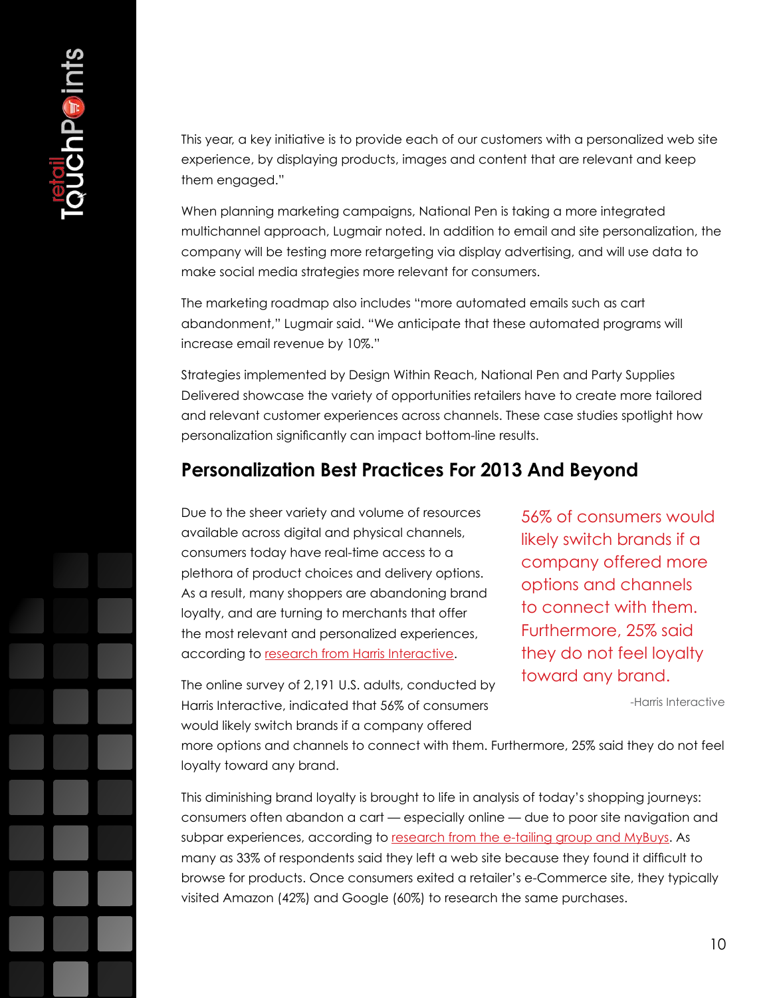This year, a key initiative is to provide each of our customers with a personalized web site experience, by displaying products, images and content that are relevant and keep them engaged."

When planning marketing campaigns, National Pen is taking a more integrated multichannel approach, Lugmair noted. In addition to email and site personalization, the company will be testing more retargeting via display advertising, and will use data to make social media strategies more relevant for consumers.

The marketing roadmap also includes "more automated emails such as cart abandonment," Lugmair said. "We anticipate that these automated programs will increase email revenue by 10%."

Strategies implemented by Design Within Reach, National Pen and Party Supplies Delivered showcase the variety of opportunities retailers have to create more tailored and relevant customer experiences across channels. These case studies spotlight how personalization significantly can impact bottom-line results.

#### **Personalization Best Practices For 2013 And Beyond**

Due to the sheer variety and volume of resources available across digital and physical channels, consumers today have real-time access to a plethora of product choices and delivery options. As a result, many shoppers are abandoning brand loyalty, and are turning to merchants that offer the most relevant and personalized experiences, according to [research from Harris Interactive](http://investor.incontact.com/phoenix.zhtml?c=97027&p=irol-newsArticle&ID=1798332&highlight).

56% of consumers would likely switch brands if a company offered more options and channels to connect with them. Furthermore, 25% said they do not feel loyalty toward any brand.

-Harris Interactive

The online survey of 2,191 U.S. adults, conducted by Harris Interactive, indicated that 56% of consumers would likely switch brands if a company offered

more options and channels to connect with them. Furthermore, 25% said they do not feel loyalty toward any brand.

This diminishing brand loyalty is brought to life in analysis of today's shopping journeys: consumers often abandon a cart — especially online — due to poor site navigation and subpar experiences, according to [research from the e-tailing group and MyBuys](http://finance.yahoo.com/news/mybuys-e-tailing-group-consumer-130000300.html). As many as 33% of respondents said they left a web site because they found it difficult to browse for products. Once consumers exited a retailer's e-Commerce site, they typically visited Amazon (42%) and Google (60%) to research the same purchases.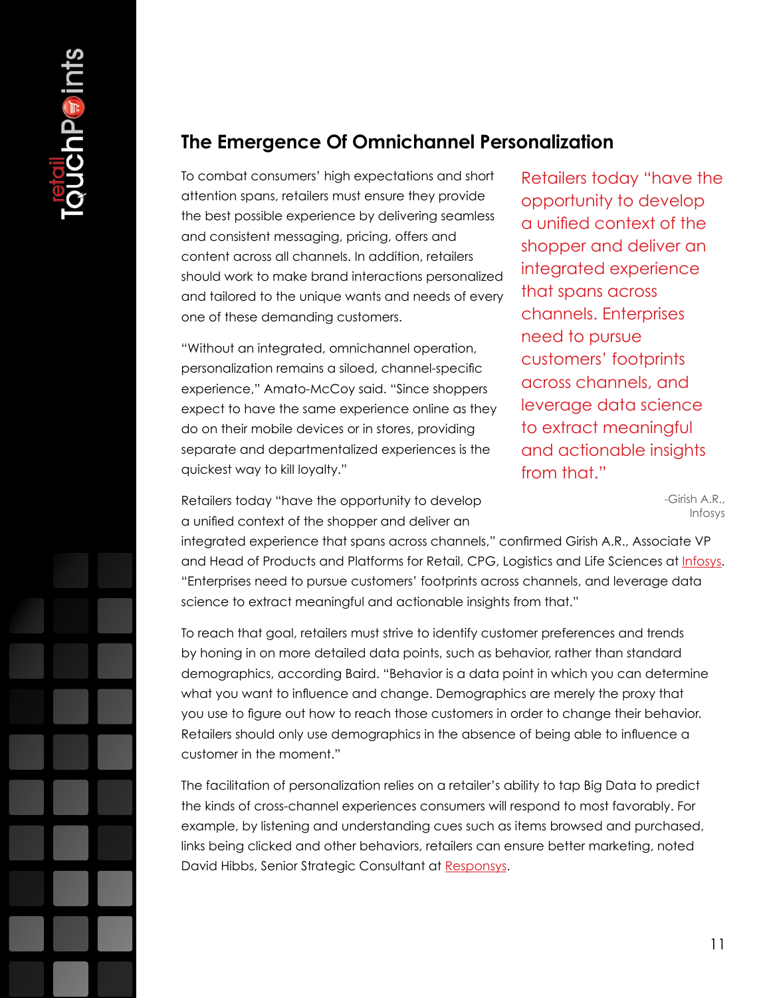### **The Emergence Of Omnichannel Personalization**

To combat consumers' high expectations and short attention spans, retailers must ensure they provide the best possible experience by delivering seamless and consistent messaging, pricing, offers and content across all channels. In addition, retailers should work to make brand interactions personalized and tailored to the unique wants and needs of every one of these demanding customers.

"Without an integrated, omnichannel operation, personalization remains a siloed, channel-specific experience," Amato-McCoy said. "Since shoppers expect to have the same experience online as they do on their mobile devices or in stores, providing separate and departmentalized experiences is the quickest way to kill loyalty."

Retailers today "have the opportunity to develop a unified context of the shopper and deliver an integrated experience that spans across channels. Enterprises need to pursue customers' footprints across channels, and leverage data science to extract meaningful and actionable insights from that."

> -Girish A.R., Infosys

Retailers today "have the opportunity to develop a unified context of the shopper and deliver an

integrated experience that spans across channels," confirmed Girish A.R., Associate VP and Head of Products and Platforms for Retail, CPG, Logistics and Life Sciences at [Infosys](http://www.infosys.com). "Enterprises need to pursue customers' footprints across channels, and leverage data science to extract meaningful and actionable insights from that."

To reach that goal, retailers must strive to identify customer preferences and trends by honing in on more detailed data points, such as behavior, rather than standard demographics, according Baird. "Behavior is a data point in which you can determine what you want to influence and change. Demographics are merely the proxy that you use to figure out how to reach those customers in order to change their behavior. Retailers should only use demographics in the absence of being able to influence a customer in the moment."

The facilitation of personalization relies on a retailer's ability to tap Big Data to predict the kinds of cross-channel experiences consumers will respond to most favorably. For example, by listening and understanding cues such as items browsed and purchased, links being clicked and other behaviors, retailers can ensure better marketing, noted David Hibbs, Senior Strategic Consultant at [Responsys.](http://www.responsys.com)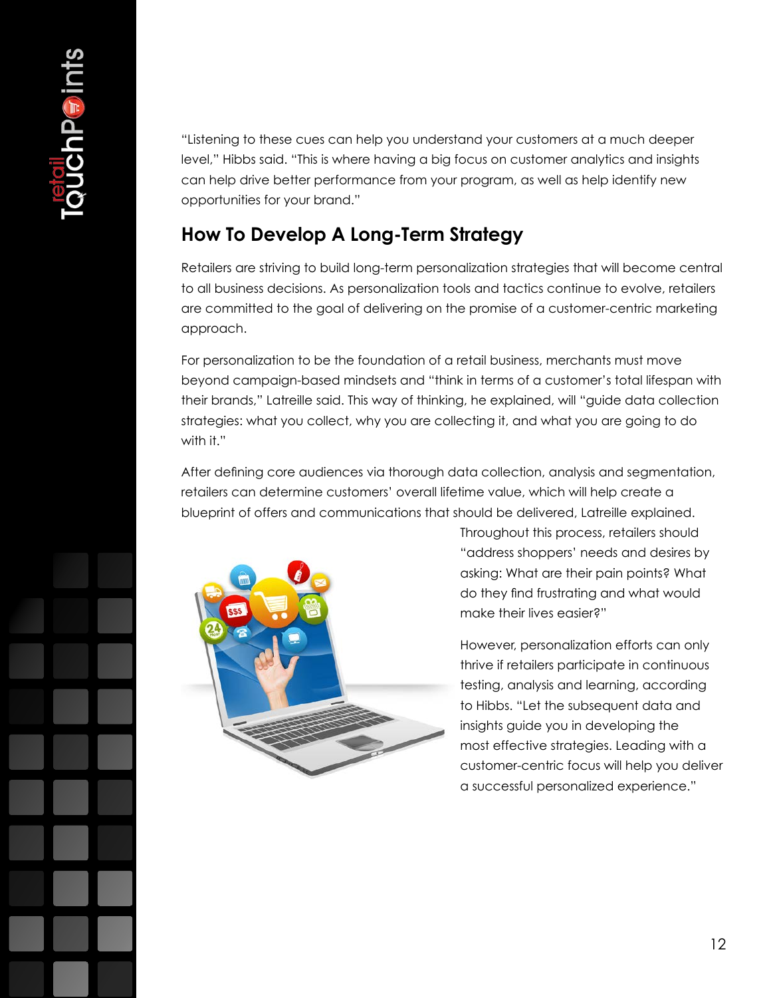"Listening to these cues can help you understand your customers at a much deeper level," Hibbs said. "This is where having a big focus on customer analytics and insights can help drive better performance from your program, as well as help identify new opportunities for your brand."

## **How To Develop A Long-Term Strategy**

Retailers are striving to build long-term personalization strategies that will become central to all business decisions. As personalization tools and tactics continue to evolve, retailers are committed to the goal of delivering on the promise of a customer-centric marketing approach.

For personalization to be the foundation of a retail business, merchants must move beyond campaign-based mindsets and "think in terms of a customer's total lifespan with their brands," Latreille said. This way of thinking, he explained, will "guide data collection strategies: what you collect, why you are collecting it, and what you are going to do with it."

After defining core audiences via thorough data collection, analysis and segmentation, retailers can determine customers' overall lifetime value, which will help create a blueprint of offers and communications that should be delivered, Latreille explained.



Throughout this process, retailers should "address shoppers' needs and desires by asking: What are their pain points? What do they find frustrating and what would make their lives easier?"

However, personalization efforts can only thrive if retailers participate in continuous testing, analysis and learning, according to Hibbs. "Let the subsequent data and insights guide you in developing the most effective strategies. Leading with a customer-centric focus will help you deliver a successful personalized experience."